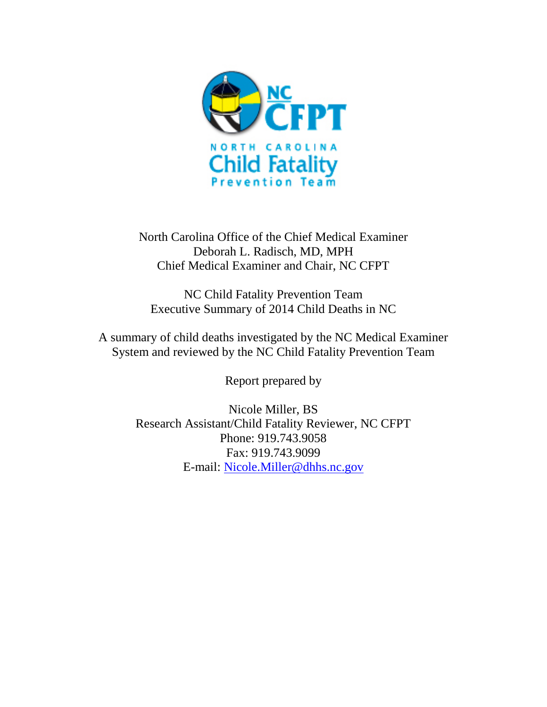

North Carolina Office of the Chief Medical Examiner Deborah L. Radisch, MD, MPH Chief Medical Examiner and Chair, NC CFPT

NC Child Fatality Prevention Team Executive Summary of 2014 Child Deaths in NC

A summary of child deaths investigated by the NC Medical Examiner System and reviewed by the NC Child Fatality Prevention Team

Report prepared by

Nicole Miller, BS Research Assistant/Child Fatality Reviewer, NC CFPT Phone: 919.743.9058 Fax: 919.743.9099 E-mail: [Nicole.Miller@dhhs.nc.gov](mailto:Nicole.Miller@dhhs.nc.gov)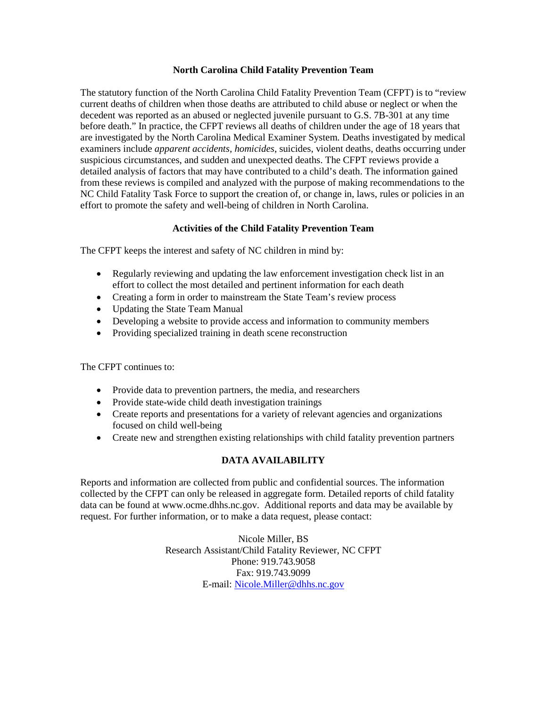## **North Carolina Child Fatality Prevention Team**

The statutory function of the North Carolina Child Fatality Prevention Team (CFPT) is to "review current deaths of children when those deaths are attributed to child abuse or neglect or when the decedent was reported as an abused or neglected juvenile pursuant to G.S. 7B-301 at any time before death." In practice, the CFPT reviews all deaths of children under the age of 18 years that are investigated by the North Carolina Medical Examiner System. Deaths investigated by medical examiners include *apparent accidents, homicides*, suicides, violent deaths, deaths occurring under suspicious circumstances, and sudden and unexpected deaths. The CFPT reviews provide a detailed analysis of factors that may have contributed to a child's death. The information gained from these reviews is compiled and analyzed with the purpose of making recommendations to the NC Child Fatality Task Force to support the creation of, or change in, laws, rules or policies in an effort to promote the safety and well-being of children in North Carolina.

# **Activities of the Child Fatality Prevention Team**

The CFPT keeps the interest and safety of NC children in mind by:

- Regularly reviewing and updating the law enforcement investigation check list in an effort to collect the most detailed and pertinent information for each death
- Creating a form in order to mainstream the State Team's review process
- Updating the State Team Manual
- Developing a website to provide access and information to community members
- Providing specialized training in death scene reconstruction

The CFPT continues to:

- Provide data to prevention partners, the media, and researchers
- Provide state-wide child death investigation trainings
- Create reports and presentations for a variety of relevant agencies and organizations focused on child well-being
- Create new and strengthen existing relationships with child fatality prevention partners

## **DATA AVAILABILITY**

Reports and information are collected from public and confidential sources. The information collected by the CFPT can only be released in aggregate form. Detailed reports of child fatality data can be found at www.ocme.dhhs.nc.gov. Additional reports and data may be available by request. For further information, or to make a data request, please contact:

> Nicole Miller, BS Research Assistant/Child Fatality Reviewer, NC CFPT Phone: 919.743.9058 Fax: 919.743.9099 E-mail: [Nicole.Miller@dhhs.nc.gov](mailto:Nicole.Miller@dhhs.nc.gov)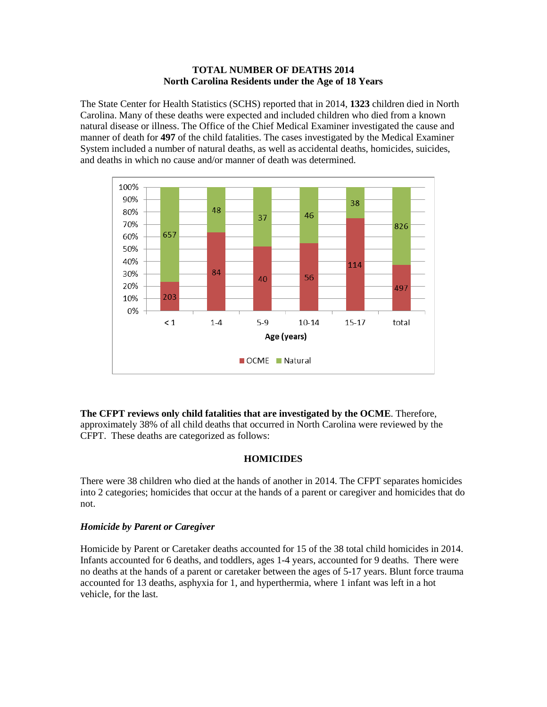### **TOTAL NUMBER OF DEATHS 2014 North Carolina Residents under the Age of 18 Years**

The State Center for Health Statistics (SCHS) reported that in 2014, **1323** children died in North Carolina. Many of these deaths were expected and included children who died from a known natural disease or illness. The Office of the Chief Medical Examiner investigated the cause and manner of death for **497** of the child fatalities. The cases investigated by the Medical Examiner System included a number of natural deaths, as well as accidental deaths, homicides, suicides, and deaths in which no cause and/or manner of death was determined.



**The CFPT reviews only child fatalities that are investigated by the OCME**. Therefore, approximately 38% of all child deaths that occurred in North Carolina were reviewed by the CFPT. These deaths are categorized as follows:

## **HOMICIDES**

There were 38 children who died at the hands of another in 2014. The CFPT separates homicides into 2 categories; homicides that occur at the hands of a parent or caregiver and homicides that do not.

## *Homicide by Parent or Caregiver*

Homicide by Parent or Caretaker deaths accounted for 15 of the 38 total child homicides in 2014. Infants accounted for 6 deaths, and toddlers, ages 1-4 years, accounted for 9 deaths. There were no deaths at the hands of a parent or caretaker between the ages of 5-17 years. Blunt force trauma accounted for 13 deaths, asphyxia for 1, and hyperthermia, where 1 infant was left in a hot vehicle, for the last.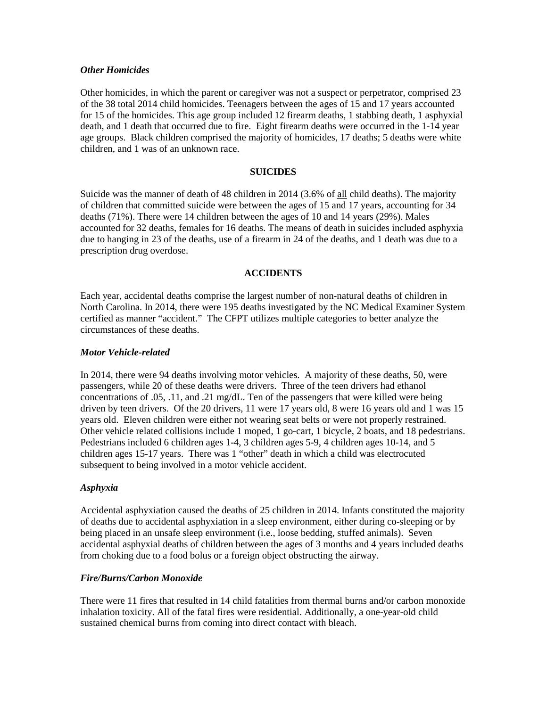#### *Other Homicides*

Other homicides, in which the parent or caregiver was not a suspect or perpetrator, comprised 23 of the 38 total 2014 child homicides. Teenagers between the ages of 15 and 17 years accounted for 15 of the homicides. This age group included 12 firearm deaths, 1 stabbing death, 1 asphyxial death, and 1 death that occurred due to fire. Eight firearm deaths were occurred in the 1-14 year age groups. Black children comprised the majority of homicides, 17 deaths; 5 deaths were white children, and 1 was of an unknown race.

### **SUICIDES**

Suicide was the manner of death of 48 children in 2014 (3.6% of all child deaths). The majority of children that committed suicide were between the ages of 15 and 17 years, accounting for 34 deaths (71%). There were 14 children between the ages of 10 and 14 years (29%). Males accounted for 32 deaths, females for 16 deaths. The means of death in suicides included asphyxia due to hanging in 23 of the deaths, use of a firearm in 24 of the deaths, and 1 death was due to a prescription drug overdose.

### **ACCIDENTS**

Each year, accidental deaths comprise the largest number of non-natural deaths of children in North Carolina. In 2014, there were 195 deaths investigated by the NC Medical Examiner System certified as manner "accident." The CFPT utilizes multiple categories to better analyze the circumstances of these deaths.

#### *Motor Vehicle-related*

In 2014, there were 94 deaths involving motor vehicles. A majority of these deaths, 50, were passengers, while 20 of these deaths were drivers. Three of the teen drivers had ethanol concentrations of .05, .11, and .21 mg/dL. Ten of the passengers that were killed were being driven by teen drivers. Of the 20 drivers, 11 were 17 years old, 8 were 16 years old and 1 was 15 years old. Eleven children were either not wearing seat belts or were not properly restrained. Other vehicle related collisions include 1 moped, 1 go-cart, 1 bicycle, 2 boats, and 18 pedestrians. Pedestrians included 6 children ages 1-4, 3 children ages 5-9, 4 children ages 10-14, and 5 children ages 15-17 years. There was 1 "other" death in which a child was electrocuted subsequent to being involved in a motor vehicle accident.

#### *Asphyxia*

Accidental asphyxiation caused the deaths of 25 children in 2014. Infants constituted the majority of deaths due to accidental asphyxiation in a sleep environment, either during co-sleeping or by being placed in an unsafe sleep environment (i.e., loose bedding, stuffed animals). Seven accidental asphyxial deaths of children between the ages of 3 months and 4 years included deaths from choking due to a food bolus or a foreign object obstructing the airway.

#### *Fire/Burns/Carbon Monoxide*

There were 11 fires that resulted in 14 child fatalities from thermal burns and/or carbon monoxide inhalation toxicity. All of the fatal fires were residential. Additionally, a one-year-old child sustained chemical burns from coming into direct contact with bleach.